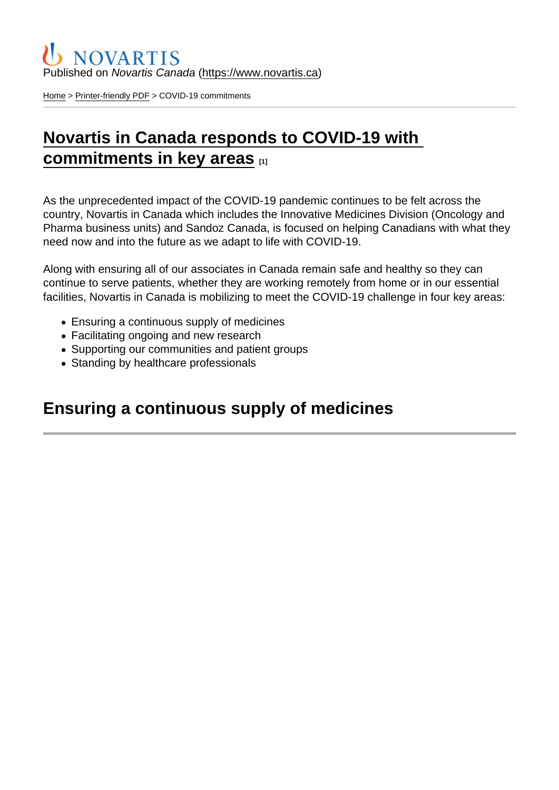#### Published on Novartis Canada [\(https://www.novartis.ca\)](https://www.novartis.ca)

[Home](https://www.novartis.ca/en) > [Printer-friendly PDF](https://www.novartis.ca/en/printpdf) > COVID-19 commitments

# [Novartis in Canada responds to COVID-19 with](https://www.novartis.ca/en/novartis-canada-responds-covid-19-commitments-key-areas-0)  [commitments in key areas](https://www.novartis.ca/en/novartis-canada-responds-covid-19-commitments-key-areas-0)  $\frac{1}{111}$

As the unprecedented impact of the COVID-19 pandemic continues to be felt across the country, Novartis in Canada which includes the Innovative Medicines Division (Oncology and Pharma business units) and Sandoz Canada, is focused on helping Canadians with what they need now and into the future as we adapt to life with COVID-19.

Along with ensuring all of our associates in Canada remain safe and healthy so they can continue to serve patients, whether they are working remotely from home or in our essential facilities, Novartis in Canada is mobilizing to meet the COVID-19 challenge in four key areas:

- Ensuring a continuous supply of medicines
- Facilitating ongoing and new research
- Supporting our communities and patient groups
- Standing by healthcare professionals

#### Ensuring a continuous supply of medicines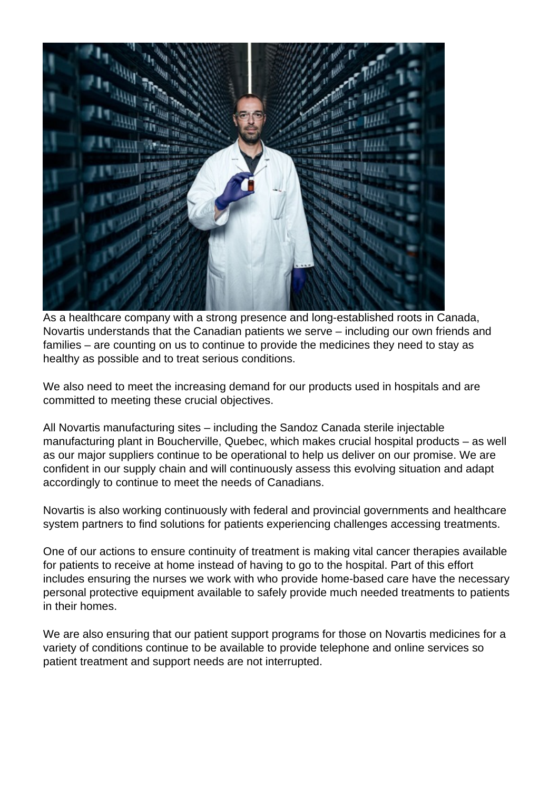

As a healthcare company with a strong presence and long-established roots in Canada, Novartis understands that the Canadian patients we serve – including our own friends and families – are counting on us to continue to provide the medicines they need to stay as healthy as possible and to treat serious conditions.

We also need to meet the increasing demand for our products used in hospitals and are committed to meeting these crucial objectives.

All Novartis manufacturing sites – including the Sandoz Canada sterile injectable manufacturing plant in Boucherville, Quebec, which makes crucial hospital products – as well as our major suppliers continue to be operational to help us deliver on our promise. We are confident in our supply chain and will continuously assess this evolving situation and adapt accordingly to continue to meet the needs of Canadians.

Novartis is also working continuously with federal and provincial governments and healthcare system partners to find solutions for patients experiencing challenges accessing treatments.

One of our actions to ensure continuity of treatment is making vital cancer therapies available for patients to receive at home instead of having to go to the hospital. Part of this effort includes ensuring the nurses we work with who provide home-based care have the necessary personal protective equipment available to safely provide much needed treatments to patients in their homes.

We are also ensuring that our patient support programs for those on Novartis medicines for a variety of conditions continue to be available to provide telephone and online services so patient treatment and support needs are not interrupted.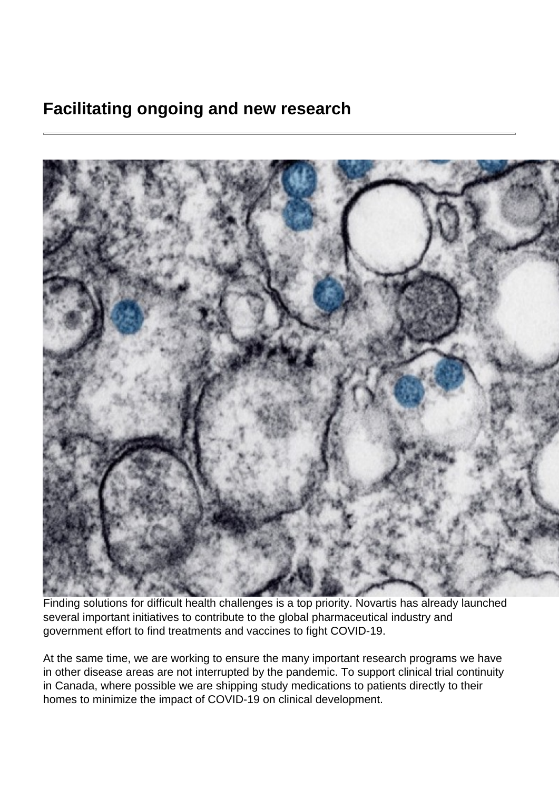## **Facilitating ongoing and new research**



Finding solutions for difficult health challenges is a top priority. Novartis has already launched several important initiatives to contribute to the global pharmaceutical industry and government effort to find treatments and vaccines to fight COVID-19.

At the same time, we are working to ensure the many important research programs we have in other disease areas are not interrupted by the pandemic. To support clinical trial continuity in Canada, where possible we are shipping study medications to patients directly to their homes to minimize the impact of COVID-19 on clinical development.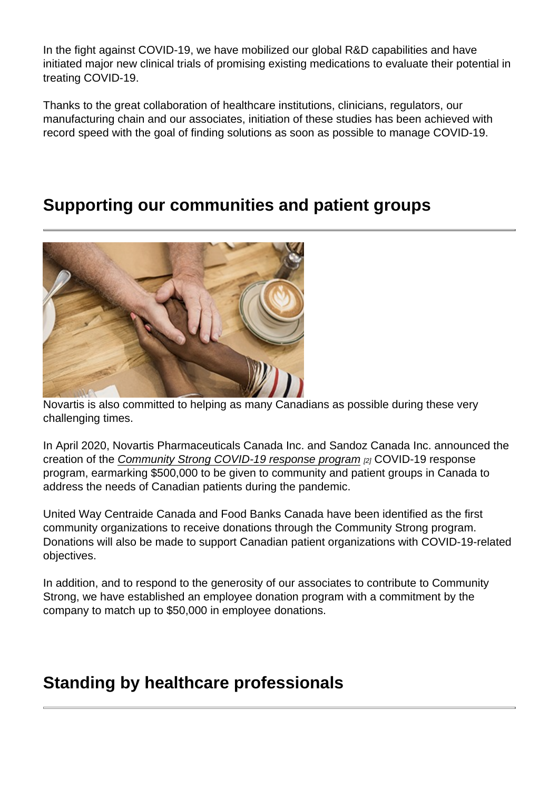In the fight against COVID-19, we have mobilized our global R&D capabilities and have initiated major new clinical trials of promising existing medications to evaluate their potential in treating COVID-19.

Thanks to the great collaboration of healthcare institutions, clinicians, regulators, our manufacturing chain and our associates, initiation of these studies has been achieved with record speed with the goal of finding solutions as soon as possible to manage COVID-19.

### Supporting our communities and patient groups

Novartis is also committed to helping as many Canadians as possible during these very challenging times.

In April 2020, Novartis Pharmaceuticals Canada Inc. and Sandoz Canada Inc. announced the creation of the [Community Strong COVID-19 response program](https://www.novartis.ca/en/news/media-releases/novartis-canada-initiates-community-strong-covid-19-response-program) [2] COVID-19 response program, earmarking \$500,000 to be given to community and patient groups in Canada to address the needs of Canadian patients during the pandemic.

United Way Centraide Canada and Food Banks Canada have been identified as the first community organizations to receive donations through the Community Strong program. Donations will also be made to support Canadian patient organizations with COVID-19-related objectives.

In addition, and to respond to the generosity of our associates to contribute to Community Strong, we have established an employee donation program with a commitment by the company to match up to \$50,000 in employee donations.

#### Standing by healthcare professionals